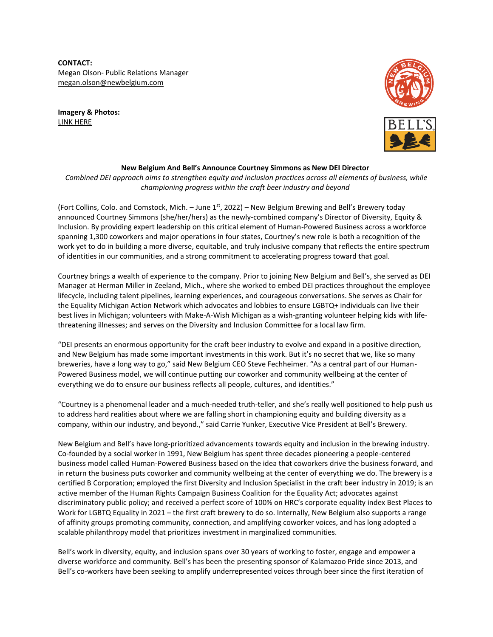**CONTACT:** Megan Olson- Public Relations Manager [megan.olson@newbelgium.com](mailto:megan.olson@newbelgium.com)

**Imagery & Photos:** [LINK HERE](https://assets.newbelgium.com/share/321BFC9B-1293-430B-8E3B664A411EF27A/)





## **New Belgium And Bell's Announce Courtney Simmons as New DEI Director**

*Combined DEI approach aims to strengthen equity and inclusion practices across all elements of business, while championing progress within the craft beer industry and beyond*

(Fort Collins, Colo. and Comstock, Mich. – June  $1<sup>st</sup>$ , 2022) – New Belgium Brewing and Bell's Brewery today announced Courtney Simmons (she/her/hers) as the newly-combined company's Director of Diversity, Equity & Inclusion. By providing expert leadership on this critical element of Human-Powered Business across a workforce spanning 1,300 coworkers and major operations in four states, Courtney's new role is both a recognition of the work yet to do in building a more diverse, equitable, and truly inclusive company that reflects the entire spectrum of identities in our communities, and a strong commitment to accelerating progress toward that goal.

Courtney brings a wealth of experience to the company. Prior to joining New Belgium and Bell's, she served as DEI Manager at Herman Miller in Zeeland, Mich., where she worked to embed DEI practices throughout the employee lifecycle, including talent pipelines, learning experiences, and courageous conversations. She serves as Chair for the Equality Michigan Action Network which advocates and lobbies to ensure LGBTQ+ individuals can live their best lives in Michigan; volunteers with Make-A-Wish Michigan as a wish-granting volunteer helping kids with lifethreatening illnesses; and serves on the Diversity and Inclusion Committee for a local law firm.

"DEI presents an enormous opportunity for the craft beer industry to evolve and expand in a positive direction, and New Belgium has made some important investments in this work. But it's no secret that we, like so many breweries, have a long way to go," said New Belgium CEO Steve Fechheimer. "As a central part of our Human-Powered Business model, we will continue putting our coworker and community wellbeing at the center of everything we do to ensure our business reflects all people, cultures, and identities."

"Courtney is a phenomenal leader and a much-needed truth-teller, and she's really well positioned to help push us to address hard realities about where we are falling short in championing equity and building diversity as a company, within our industry, and beyond.," said Carrie Yunker, Executive Vice President at Bell's Brewery.

New Belgium and Bell's have long-prioritized advancements towards equity and inclusion in the brewing industry. Co-founded by a social worker in 1991, New Belgium has spent three decades pioneering a people-centered business model called Human-Powered Business based on the idea that coworkers drive the business forward, and in return the business puts coworker and community wellbeing at the center of everything we do. The brewery is a certified B Corporation; employed the first Diversity and Inclusion Specialist in the craft beer industry in 2019; is an active member of the Human Rights Campaign Business Coalition for the Equality Act; advocates against discriminatory public policy; and received a perfect score of 100% on HRC's corporate equality index Best Places to Work for LGBTQ Equality in 2021 – the first craft brewery to do so. Internally, New Belgium also supports a range of affinity groups promoting community, connection, and amplifying coworker voices, and has long adopted a scalable philanthropy model that prioritizes investment in marginalized communities.

Bell's work in diversity, equity, and inclusion spans over 30 years of working to foster, engage and empower a diverse workforce and community. Bell's has been the presenting sponsor of Kalamazoo Pride since 2013, and Bell's co-workers have been seeking to amplify underrepresented voices through beer since the first iteration of